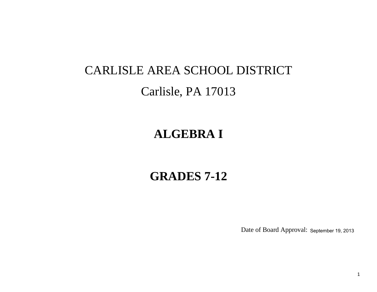# CARLISLE AREA SCHOOL DISTRICT Carlisle, PA 17013

# **ALGEBRA I**

# **GRADES 7-12**

Date of Board Approval: September 19, 2013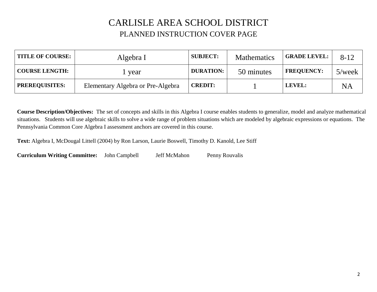### CARLISLE AREA SCHOOL DISTRICT PLANNED INSTRUCTION COVER PAGE

| <b>TITLE OF COURSE:</b> | Algebra I                         | <b>SUBJECT:</b>  | <b>Mathematics</b> | <b>GRADE LEVEL:</b> | $8 - 12$  |
|-------------------------|-----------------------------------|------------------|--------------------|---------------------|-----------|
| <b>COURSE LENGTH:</b>   | year                              | <b>DURATION:</b> | 50 minutes         | <b>FREQUENCY:</b>   | $5$ /week |
| <b>PREREQUISITES:</b>   | Elementary Algebra or Pre-Algebra | <b>CREDIT:</b>   |                    | LEVEL:              | NA        |

**Course Description/Objectives:** The set of concepts and skills in this Algebra I course enables students to generalize, model and analyze mathematical situations. Students will use algebraic skills to solve a wide range of problem situations which are modeled by algebraic expressions or equations. The Pennsylvania Common Core Algebra I assessment anchors are covered in this course.

**Text:** Algebra I, McDougal Littell (2004) by Ron Larson, Laurie Boswell, Timothy D. Kanold, Lee Stiff

**Curriculum Writing Committee:** John Campbell Jeff McMahon Penny Rouvalis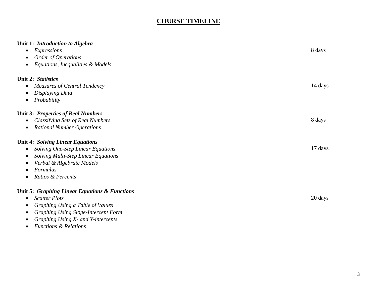### **COURSE TIMELINE**

| Unit 1: Introduction to Algebra<br>Expressions<br>$\bullet$<br>Order of Operations<br>Equations, Inequalities & Models<br>$\bullet$                                                                                       | 8 days  |
|---------------------------------------------------------------------------------------------------------------------------------------------------------------------------------------------------------------------------|---------|
| Unit 2: Statistics<br><b>Measures of Central Tendency</b><br>$\bullet$<br>Displaying Data<br>Probability<br>$\bullet$                                                                                                     | 14 days |
| <b>Unit 3: Properties of Real Numbers</b><br><b>Classifying Sets of Real Numbers</b><br>$\bullet$<br><b>Rational Number Operations</b><br>$\bullet$                                                                       | 8 days  |
| <b>Unit 4: Solving Linear Equations</b><br><b>Solving One-Step Linear Equations</b><br>$\bullet$<br><b>Solving Multi-Step Linear Equations</b><br>Verbal & Algebraic Models<br>Formulas<br>Ratios & Percents<br>$\bullet$ | 17 days |
| Unit 5: Graphing Linear Equations & Functions<br><b>Scatter Plots</b><br>$\bullet$<br>Graphing Using a Table of Values<br><b>Graphing Using Slope-Intercept Form</b><br>Graphing Using X- and Y-intercepts<br>$\bullet$   | 20 days |

*Functions & Relations*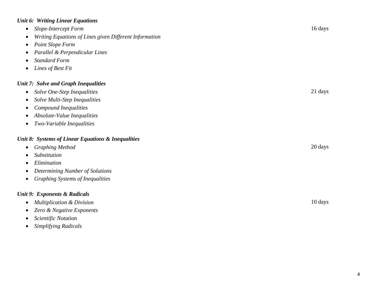#### *Unit 6: Writing Linear Equations*

- *Slope-Intercept Form* 16 days *Writing Equations of Lines given Different Information Point Slope Form Parallel & Perpendicular Lines Standard Form Lines of Best Fit Unit 7: Solve and Graph Inequalities Solve One-Step Inequalities* 21 days *Solve Multi-Step Inequalities Compound Inequalities Absolute-Value Inequalities Two-Variable Inequalities Unit 8: Systems of Linear Equations & Inequalities Graphing Method* 20 days *Substitution Elimination Determining Number of Solutions Graphing Systems of Inequalities Unit 9 : Exponents & Radicals Multiplication & Division* 10 days *Zero & Negative Exponents*
	- *Scientific Notation*
	- *Simplifying Radicals*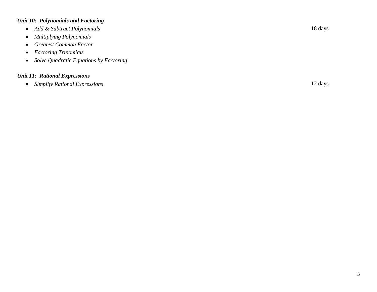#### *Unit 10: Polynomials and Factoring*

- *Add & Subtract Polynomials* 18 days
- *Multiplying Polynomials*
- *Greatest Common Factor*
- *Factoring Trinomials*
- *Solve Quadratic Equations by Factoring*

#### *Unit 11: Rational Expressions*

*Simplify Rational Expressions* 12 days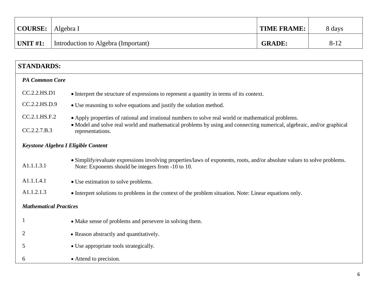| <b>COURSE:</b> | Algebra I                           | <b>TIME FRAME:</b> | 8 days   |
|----------------|-------------------------------------|--------------------|----------|
| UNIT $#1$ :    | Introduction to Algebra (Important) | <b>GRADE:</b>      | $8 - 12$ |

| <b>STANDARDS:</b>                   |                                                                                                                                                                                |
|-------------------------------------|--------------------------------------------------------------------------------------------------------------------------------------------------------------------------------|
| <b>PA Common Core</b>               |                                                                                                                                                                                |
| CC.2.2.HS.D1                        | • Interpret the structure of expressions to represent a quantity in terms of its context.                                                                                      |
| CC.2.2.HS.D.9                       | • Use reasoning to solve equations and justify the solution method.                                                                                                            |
| CC.2.1.HS.F.2                       | • Apply properties of rational and irrational numbers to solve real world or mathematical problems.                                                                            |
| CC.2.2.7.B.3                        | • Model and solve real world and mathematical problems by using and connecting numerical, algebraic, and/or graphical<br>representations.                                      |
| Keystone Algebra I Eligible Content |                                                                                                                                                                                |
| A1.1.1.3.1                          | • Simplify/evaluate expressions involving properties/laws of exponents, roots, and/or absolute values to solve problems.<br>Note: Exponents should be integers from -10 to 10. |
| A1.1.1.4.1                          | • Use estimation to solve problems.                                                                                                                                            |
| A1.1.2.1.3                          | • Interpret solutions to problems in the context of the problem situation. Note: Linear equations only.                                                                        |
| <b>Mathematical Practices</b>       |                                                                                                                                                                                |
|                                     | • Make sense of problems and persevere in solving them.                                                                                                                        |
| 2                                   | • Reason abstractly and quantitatively.                                                                                                                                        |
| 5                                   | • Use appropriate tools strategically.                                                                                                                                         |
| 6                                   | • Attend to precision.                                                                                                                                                         |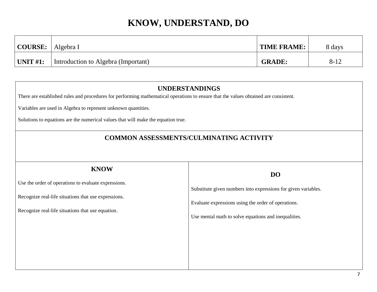| COURSE:     | Algebra I                           | <b>TIME FRAME:</b> | 8 days |
|-------------|-------------------------------------|--------------------|--------|
| UNIT $#1$ : | Introduction to Algebra (Important) | <b>GRADE:</b>      | $8-12$ |

| <b>UNDERSTANDINGS</b><br>There are established rules and procedures for performing mathematical operations to ensure that the values obtained are consistent.                    |                                                                                                                                                                                            |  |  |
|----------------------------------------------------------------------------------------------------------------------------------------------------------------------------------|--------------------------------------------------------------------------------------------------------------------------------------------------------------------------------------------|--|--|
| Variables are used in Algebra to represent unknown quantities.<br>Solutions to equations are the numerical values that will make the equation true.                              |                                                                                                                                                                                            |  |  |
| <b>COMMON ASSESSMENTS/CULMINATING ACTIVITY</b>                                                                                                                                   |                                                                                                                                                                                            |  |  |
| <b>KNOW</b><br>Use the order of operations to evaluate expressions.<br>Recognize real-life situations that use expressions.<br>Recognize real-life situations that use equation. | <b>DO</b><br>Substitute given numbers into expressions for given variables.<br>Evaluate expressions using the order of operations.<br>Use mental math to solve equations and inequalities. |  |  |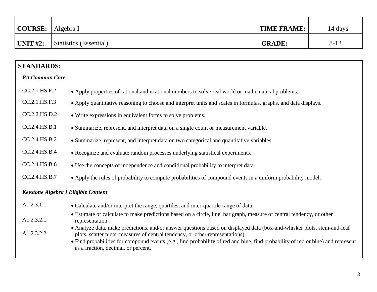| $\vert$ COURSE: $\vert$ Algebra I |                        | <b>TIME FRAME:</b> | 14 days  |
|-----------------------------------|------------------------|--------------------|----------|
| $\mid$ UNIT #2:                   | Statistics (Essential) | <b>GRADE:</b>      | $8 - 12$ |

### **STANDARDS:**

#### *PA Common Core*

| CC.2.1.HS.F.2 | • Apply properties of rational and irrational numbers to solve real world or mathematical problems. |  |  |
|---------------|-----------------------------------------------------------------------------------------------------|--|--|
|---------------|-----------------------------------------------------------------------------------------------------|--|--|

- CC.2.1.HS.F.3 Apply quantitative reasoning to choose and interpret units and scales in formulas, graphs, and data displays.
- CC.2.2.HS.D.2 Write expressions in equivalent forms to solve problems.
- CC.2.4.HS.B.1 Summarize, represent, and interpret data on a single count or measurement variable.
- CC.2.4.HS.B.2 Summarize, represent, and interpret data on two categorical and quantitative variables.
- CC.2.4.HS.B.4 Recognize and evaluate random processes underlying statistical experiments.
- CC.2.4.HS.B.6 Use the concepts of independence and conditional probability to interpret data.
- CC.2.4.HS.B.7 Apply the rules of probability to compute probabilities of compound events in a uniform probability model.

#### *Keystone Algebra I Eligible Content*

| A1.2.3.1.1 | • Calculate and/or interpret the range, quartiles, and inter-quartile range of data.                                                                                                                                                                                                                                                                                                 |
|------------|--------------------------------------------------------------------------------------------------------------------------------------------------------------------------------------------------------------------------------------------------------------------------------------------------------------------------------------------------------------------------------------|
| A1.2.3.2.1 | • Estimate or calculate to make predictions based on a circle, line, bar graph, measure of central tendency, or other<br>representation.                                                                                                                                                                                                                                             |
| A1.2.3.2.2 | • Analyze data, make predictions, and/or answer questions based on displayed data (box-and-whisker plots, stem-and-leaf<br>plots, scatter plots, measures of central tendency, or other representations).<br>• Find probabilities for compound events (e.g., find probability of red and blue, find probability of red or blue) and represent<br>as a fraction, decimal, or percent. |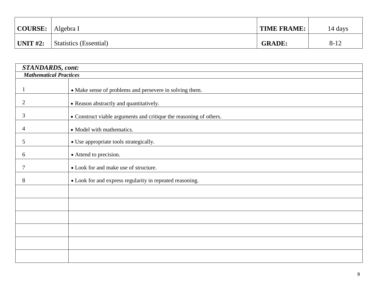| $\vert$ COURSE: $\vert$ Algebra I |                        | TIME FRAME:   | 14 days  |
|-----------------------------------|------------------------|---------------|----------|
| $\mid$ UNIT #2:                   | Statistics (Essential) | <b>GRADE:</b> | $8 - 12$ |

| <b>STANDARDS</b> , cont: |                                                                    |  |  |
|--------------------------|--------------------------------------------------------------------|--|--|
|                          | <b>Mathematical Practices</b>                                      |  |  |
|                          | • Make sense of problems and persevere in solving them.            |  |  |
| $\overline{2}$           | • Reason abstractly and quantitatively.                            |  |  |
| 3                        | • Construct viable arguments and critique the reasoning of others. |  |  |
| 4                        | • Model with mathematics.                                          |  |  |
| 5                        | • Use appropriate tools strategically.                             |  |  |
| 6                        | • Attend to precision.                                             |  |  |
| 7                        | • Look for and make use of structure.                              |  |  |
| 8                        | • Look for and express regularity in repeated reasoning.           |  |  |
|                          |                                                                    |  |  |
|                          |                                                                    |  |  |
|                          |                                                                    |  |  |
|                          |                                                                    |  |  |
|                          |                                                                    |  |  |
|                          |                                                                    |  |  |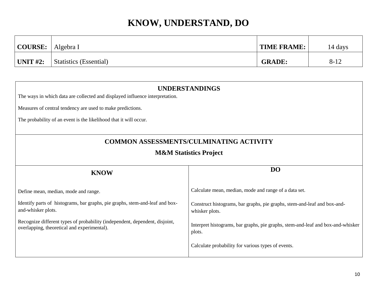| COURSE:     | Algebra I                     | <b>TIME FRAME:</b> | 14 days  |
|-------------|-------------------------------|--------------------|----------|
| UNIT $#2$ : | <b>Statistics (Essential)</b> | <b>GRADE:</b>      | $8 - 12$ |

|                                                                                                                            | <b>UNDERSTANDINGS</b>                                                                      |  |  |
|----------------------------------------------------------------------------------------------------------------------------|--------------------------------------------------------------------------------------------|--|--|
| The ways in which data are collected and displayed influence interpretation.                                               |                                                                                            |  |  |
| Measures of central tendency are used to make predictions.                                                                 |                                                                                            |  |  |
| The probability of an event is the likelihood that it will occur.                                                          |                                                                                            |  |  |
|                                                                                                                            | <b>COMMON ASSESSMENTS/CULMINATING ACTIVITY</b>                                             |  |  |
| <b>M&amp;M Statistics Project</b>                                                                                          |                                                                                            |  |  |
| <b>KNOW</b>                                                                                                                | D <sub>O</sub>                                                                             |  |  |
| Define mean, median, mode and range.                                                                                       | Calculate mean, median, mode and range of a data set.                                      |  |  |
| Identify parts of histograms, bar graphs, pie graphs, stem-and-leaf and box-<br>and-whisker plots.                         | Construct histograms, bar graphs, pie graphs, stem-and-leaf and box-and-<br>whisker plots. |  |  |
| Recognize different types of probability (independent, dependent, disjoint,<br>overlapping, theoretical and experimental). | Interpret histograms, bar graphs, pie graphs, stem-and-leaf and box-and-whisker<br>plots.  |  |  |
|                                                                                                                            | Calculate probability for various types of events.                                         |  |  |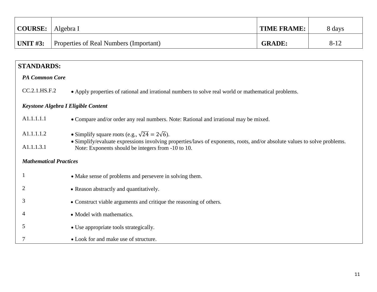| <b>COURSE:</b>                                                                      | Algebra I                                                                                                                                                                             | <b>TIME FRAME:</b> | 8 days   |  |
|-------------------------------------------------------------------------------------|---------------------------------------------------------------------------------------------------------------------------------------------------------------------------------------|--------------------|----------|--|
| <b>UNIT #3:</b>                                                                     | Properties of Real Numbers (Important)                                                                                                                                                | <b>GRADE:</b>      | $8 - 12$ |  |
|                                                                                     |                                                                                                                                                                                       |                    |          |  |
| <b>STANDARDS:</b>                                                                   |                                                                                                                                                                                       |                    |          |  |
| <b>PA Common Core</b>                                                               |                                                                                                                                                                                       |                    |          |  |
| CC.2.1.HS.F.2                                                                       | • Apply properties of rational and irrational numbers to solve real world or mathematical problems.                                                                                   |                    |          |  |
|                                                                                     | Keystone Algebra I Eligible Content                                                                                                                                                   |                    |          |  |
| A1.1.1.1.1                                                                          | • Compare and/or order any real numbers. Note: Rational and irrational may be mixed.                                                                                                  |                    |          |  |
| A1.1.1.1.2<br>A1.1.1.3.1                                                            | • Simplify square roots (e.g., $\sqrt{24} = 2\sqrt{6}$ ).<br>• Simplify/evaluate expressions involving properties/laws of exponents, roots, and/or absolute values to solve problems. |                    |          |  |
| Note: Exponents should be integers from -10 to 10.<br><b>Mathematical Practices</b> |                                                                                                                                                                                       |                    |          |  |
|                                                                                     | • Make sense of problems and persevere in solving them.                                                                                                                               |                    |          |  |
| 2                                                                                   | • Reason abstractly and quantitatively.                                                                                                                                               |                    |          |  |
| 3                                                                                   | • Construct viable arguments and critique the reasoning of others.                                                                                                                    |                    |          |  |
|                                                                                     | • Model with mathematics.                                                                                                                                                             |                    |          |  |
| 5                                                                                   | • Use appropriate tools strategically.                                                                                                                                                |                    |          |  |
| 7                                                                                   | • Look for and make use of structure.                                                                                                                                                 |                    |          |  |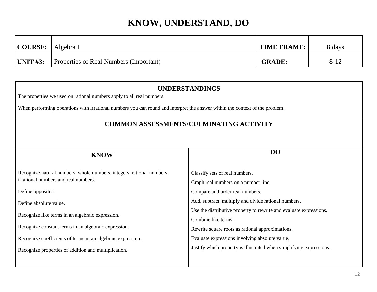| COURSE:    | Algebra I                              | <b>TIME FRAME:</b> | 8 days   |
|------------|----------------------------------------|--------------------|----------|
| UNIT $#3:$ | Properties of Real Numbers (Important) | <b>GRADE:</b>      | $8 - 12$ |

| <b>UNDERSTANDINGS</b><br>The properties we used on rational numbers apply to all real numbers.                               |                                                                                                                                               |  |  |
|------------------------------------------------------------------------------------------------------------------------------|-----------------------------------------------------------------------------------------------------------------------------------------------|--|--|
| When performing operations with irrational numbers you can round and interpret the answer within the context of the problem. |                                                                                                                                               |  |  |
| <b>COMMON ASSESSMENTS/CULMINATING ACTIVITY</b>                                                                               |                                                                                                                                               |  |  |
|                                                                                                                              | DO                                                                                                                                            |  |  |
| <b>KNOW</b>                                                                                                                  |                                                                                                                                               |  |  |
| Recognize natural numbers, whole numbers, integers, rational numbers,<br>irrational numbers and real numbers.                | Classify sets of real numbers.<br>Graph real numbers on a number line.                                                                        |  |  |
| Define opposites.                                                                                                            | Compare and order real numbers.                                                                                                               |  |  |
| Define absolute value.                                                                                                       | Add, subtract, multiply and divide rational numbers.                                                                                          |  |  |
| Recognize like terms in an algebraic expression.<br>Recognize constant terms in an algebraic expression.                     | Use the distributive property to rewrite and evaluate expressions.<br>Combine like terms.<br>Rewrite square roots as rational approximations. |  |  |
| Recognize coefficients of terms in an algebraic expression.                                                                  | Evaluate expressions involving absolute value.                                                                                                |  |  |
| Recognize properties of addition and multiplication.                                                                         | Justify which property is illustrated when simplifying expressions.                                                                           |  |  |
|                                                                                                                              |                                                                                                                                               |  |  |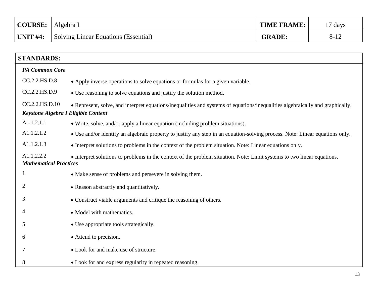| <b>COURSE:</b> | Algebra I                                   | <b>TIME FRAME:</b> | $17 \text{ days}$ |
|----------------|---------------------------------------------|--------------------|-------------------|
| UNIT $#4$ :    | <b>Solving Linear Equations (Essential)</b> | <b>GRADE:</b>      | $8-12$            |

| <b>STANDARDS:</b>                                     |                                                                                                                               |  |  |  |
|-------------------------------------------------------|-------------------------------------------------------------------------------------------------------------------------------|--|--|--|
| <b>PA Common Core</b>                                 |                                                                                                                               |  |  |  |
| CC.2.2.HS.D.8                                         | • Apply inverse operations to solve equations or formulas for a given variable.                                               |  |  |  |
| CC.2.2.HS.D.9                                         | • Use reasoning to solve equations and justify the solution method.                                                           |  |  |  |
| CC.2.2.HS.D.10<br>Keystone Algebra I Eligible Content | • Represent, solve, and interpret equations/inequalities and systems of equations/inequalities algebraically and graphically. |  |  |  |
| A1.1.2.1.1                                            | • Write, solve, and/or apply a linear equation (including problem situations).                                                |  |  |  |
| A1.1.2.1.2                                            | • Use and/or identify an algebraic property to justify any step in an equation-solving process. Note: Linear equations only.  |  |  |  |
| A1.1.2.1.3                                            | • Interpret solutions to problems in the context of the problem situation. Note: Linear equations only.                       |  |  |  |
| A1.1.2.2.2<br><b>Mathematical Practices</b>           | • Interpret solutions to problems in the context of the problem situation. Note: Limit systems to two linear equations.       |  |  |  |
| 1                                                     | • Make sense of problems and persevere in solving them.                                                                       |  |  |  |
| 2                                                     | • Reason abstractly and quantitatively.                                                                                       |  |  |  |
| 3                                                     | • Construct viable arguments and critique the reasoning of others.                                                            |  |  |  |
| 4                                                     | • Model with mathematics.                                                                                                     |  |  |  |
| 5                                                     | • Use appropriate tools strategically.                                                                                        |  |  |  |
| 6                                                     | • Attend to precision.                                                                                                        |  |  |  |
| 7                                                     | • Look for and make use of structure.                                                                                         |  |  |  |
| 8                                                     | • Look for and express regularity in repeated reasoning.                                                                      |  |  |  |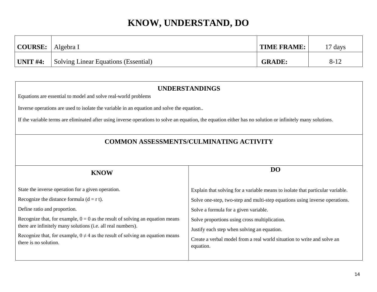| COURSE:     | Algebra I                                   | <b>TIME FRAME:</b> | 17 days  |
|-------------|---------------------------------------------|--------------------|----------|
| UNIT $#4$ : | <b>Solving Linear Equations (Essential)</b> | <b>GRADE:</b>      | $8 - 12$ |

### **UNDERSTANDINGS** Equations are essential to model and solve real-world problems Inverse operations are used to isolate the variable in an equation and solve the equation.. If the variable terms are eliminated after using inverse operations to solve an equation, the equation either has no solution or infinitely many solutions. **COMMON ASSESSMENTS/CULMINATING ACTIVITY KNOW** State the inverse operation for a given operation. Recognize the distance formula  $(d = r t)$ . Define ratio and proportion. Recognize that, for example,  $0 = 0$  as the result of solving an equation means there are infinitely many solutions (i.e. all real numbers). Recognize that, for example,  $0 \neq 4$  as the result of solving an equation means there is no solution. **DO** Explain that solving for a variable means to isolate that particular variable. Solve one-step, two-step and multi-step equations using inverse operations. Solve a formula for a given variable. Solve proportions using cross multiplication. Justify each step when solving an equation. Create a verbal model from a real world situation to write and solve an equation.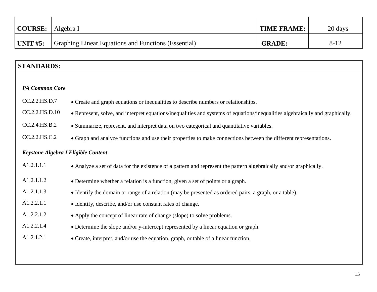| <b>COURSE:</b> | Algebra I                                                  | <b>TIME FRAME:</b> | 20 days  |
|----------------|------------------------------------------------------------|--------------------|----------|
| UNIT $#5:$     | <b>Graphing Linear Equations and Functions (Essential)</b> | <b>GRADE:</b>      | $8 - 12$ |

### **STANDARDS:**

| <b>PA Common Core</b>                      |                                                                                                                               |  |  |
|--------------------------------------------|-------------------------------------------------------------------------------------------------------------------------------|--|--|
| CC.2.2.HS.D.7                              | • Create and graph equations or inequalities to describe numbers or relationships.                                            |  |  |
| CC.2.2.HS.D.10                             | • Represent, solve, and interpret equations/inequalities and systems of equations/inequalities algebraically and graphically. |  |  |
| CC.2.4.HS.B.2                              | • Summarize, represent, and interpret data on two categorical and quantitative variables.                                     |  |  |
| CC.2.2.HS.C.2                              | • Graph and analyze functions and use their properties to make connections between the different representations.             |  |  |
| <b>Keystone Algebra I Eligible Content</b> |                                                                                                                               |  |  |
| A1.2.1.1.1                                 | • Analyze a set of data for the existence of a pattern and represent the pattern algebraically and/or graphically.            |  |  |
| A1.2.1.1.2                                 | • Determine whether a relation is a function, given a set of points or a graph.                                               |  |  |
| A1.2.1.1.3                                 | • Identify the domain or range of a relation (may be presented as ordered pairs, a graph, or a table).                        |  |  |
| A1.2.2.1.1                                 | • Identify, describe, and/or use constant rates of change.                                                                    |  |  |
| A1.2.2.1.2                                 | • Apply the concept of linear rate of change (slope) to solve problems.                                                       |  |  |
| A1.2.2.1.4                                 | • Determine the slope and/or y-intercept represented by a linear equation or graph.                                           |  |  |
| A1.2.1.2.1                                 | • Create, interpret, and/or use the equation, graph, or table of a linear function.                                           |  |  |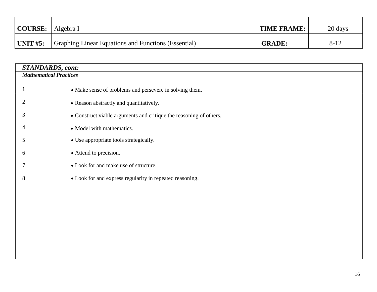| $\vert$ COURSE: $\vert$ Algebra I |                                                                  | <b>TIME FRAME:</b> | 20 days  |
|-----------------------------------|------------------------------------------------------------------|--------------------|----------|
| $\vert$ UNIT #5:                  | <sup>1</sup> Graphing Linear Equations and Functions (Essential) | <b>GRADE:</b>      | $8 - 12$ |

| <b>STANDARDS, cont:</b>       |                                                                    |  |
|-------------------------------|--------------------------------------------------------------------|--|
| <b>Mathematical Practices</b> |                                                                    |  |
|                               |                                                                    |  |
|                               | • Make sense of problems and persevere in solving them.            |  |
| 2                             | • Reason abstractly and quantitatively.                            |  |
|                               |                                                                    |  |
| 3                             | • Construct viable arguments and critique the reasoning of others. |  |
| 4                             | • Model with mathematics.                                          |  |
| 5                             | • Use appropriate tools strategically.                             |  |
|                               |                                                                    |  |
| 6                             | • Attend to precision.                                             |  |
|                               | • Look for and make use of structure.                              |  |
| 8                             | • Look for and express regularity in repeated reasoning.           |  |
|                               |                                                                    |  |
|                               |                                                                    |  |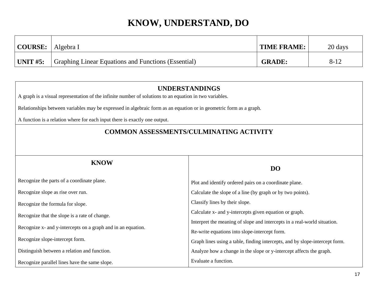| <b>COURSE:</b>  | Algebra I                                                  | <b>TIME FRAME:</b> | 20 days  |
|-----------------|------------------------------------------------------------|--------------------|----------|
| <b>UNIT #5:</b> | <b>Graphing Linear Equations and Functions (Essential)</b> | <b>GRADE:</b>      | $8 - 12$ |

| A graph is a visual representation of the infinite number of solutions to an equation in two variables.            | UNDERSTANDINGS                                                              |
|--------------------------------------------------------------------------------------------------------------------|-----------------------------------------------------------------------------|
| Relationships between variables may be expressed in algebraic form as an equation or in geometric form as a graph. |                                                                             |
| A function is a relation where for each input there is exactly one output.                                         |                                                                             |
|                                                                                                                    | <b>COMMON ASSESSMENTS/CULMINATING ACTIVITY</b>                              |
|                                                                                                                    |                                                                             |
|                                                                                                                    |                                                                             |
| <b>KNOW</b>                                                                                                        | <b>DO</b>                                                                   |
| Recognize the parts of a coordinate plane.                                                                         | Plot and identify ordered pairs on a coordinate plane.                      |
| Recognize slope as rise over run.                                                                                  | Calculate the slope of a line (by graph or by two points).                  |
| Recognize the formula for slope.                                                                                   | Classify lines by their slope.                                              |
| Recognize that the slope is a rate of change.                                                                      | Calculate x- and y-intercepts given equation or graph.                      |
|                                                                                                                    | Interpret the meaning of slope and intercepts in a real-world situation.    |
| Recognize x- and y-intercepts on a graph and in an equation.                                                       | Re-write equations into slope-intercept form.                               |
| Recognize slope-intercept form.                                                                                    | Graph lines using a table, finding intercepts, and by slope-intercept form. |
| Distinguish between a relation and function.                                                                       | Analyze how a change in the slope or y-intercept affects the graph.         |
| Recognize parallel lines have the same slope.                                                                      | Evaluate a function.                                                        |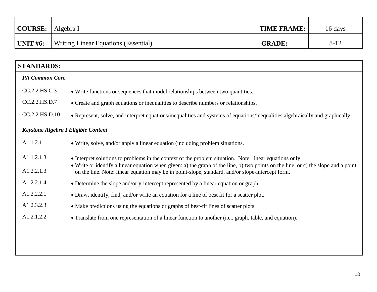| <b>COURSE:</b>  | Algebra I                                   | <b>TIME FRAME:</b> | 16 days  |
|-----------------|---------------------------------------------|--------------------|----------|
| <b>UNIT #6:</b> | <b>Writing Linear Equations (Essential)</b> | <b>GRADE:</b>      | $8 - 12$ |

| <b>STANDARDS:</b>                   |                                                                                                                                                                                                                                        |
|-------------------------------------|----------------------------------------------------------------------------------------------------------------------------------------------------------------------------------------------------------------------------------------|
| <b>PA Common Core</b>               |                                                                                                                                                                                                                                        |
| CC.2.2.HS.C.3                       | • Write functions or sequences that model relationships between two quantities.                                                                                                                                                        |
| CC.2.2.HS.D.7                       | • Create and graph equations or inequalities to describe numbers or relationships.                                                                                                                                                     |
| CC.2.2.HS.D.10                      | • Represent, solve, and interpret equations/inequalities and systems of equations/inequalities algebraically and graphically.                                                                                                          |
| Keystone Algebra I Eligible Content |                                                                                                                                                                                                                                        |
| A1.1.2.1.1                          | • Write, solve, and/or apply a linear equation (including problem situations.                                                                                                                                                          |
| A1.1.2.1.3                          | • Interpret solutions to problems in the context of the problem situation. Note: linear equations only.                                                                                                                                |
| A1.2.2.1.3                          | • Write or identify a linear equation when given: a) the graph of the line, b) two points on the line, or c) the slope and a point<br>on the line. Note: linear equation may be in point-slope, standard, and/or slope-intercept form. |
| A1.2.2.1.4                          | • Determine the slope and/or y-intercept represented by a linear equation or graph.                                                                                                                                                    |
| A1.2.2.2.1                          | • Draw, identify, find, and/or write an equation for a line of best fit for a scatter plot.                                                                                                                                            |
| A1.2.3.2.3                          | • Make predictions using the equations or graphs of best-fit lines of scatter plots.                                                                                                                                                   |
| A1.2.1.2.2                          | • Translate from one representation of a linear function to another (i.e., graph, table, and equation).                                                                                                                                |
|                                     |                                                                                                                                                                                                                                        |
|                                     |                                                                                                                                                                                                                                        |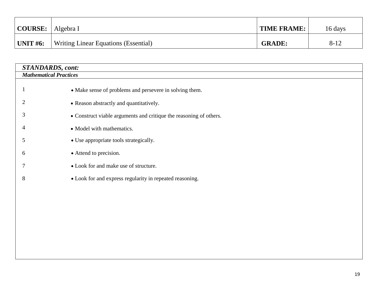| $\vert$ COURSE: $\vert$ Algebra I |                                      | TIME FRAME:   | 16 days  |
|-----------------------------------|--------------------------------------|---------------|----------|
| $\vert$ UNIT #6:                  | Writing Linear Equations (Essential) | <b>GRADE:</b> | $8 - 12$ |

| <b>STANDARDS, cont:</b> |                                                                    |  |  |
|-------------------------|--------------------------------------------------------------------|--|--|
|                         | <b>Mathematical Practices</b>                                      |  |  |
|                         | • Make sense of problems and persevere in solving them.            |  |  |
|                         | • Reason abstractly and quantitatively.                            |  |  |
| 3                       | • Construct viable arguments and critique the reasoning of others. |  |  |
| 4                       | • Model with mathematics.                                          |  |  |
| 5                       | • Use appropriate tools strategically.                             |  |  |
| 6                       | • Attend to precision.                                             |  |  |
|                         | • Look for and make use of structure.                              |  |  |
| 8                       | • Look for and express regularity in repeated reasoning.           |  |  |
|                         |                                                                    |  |  |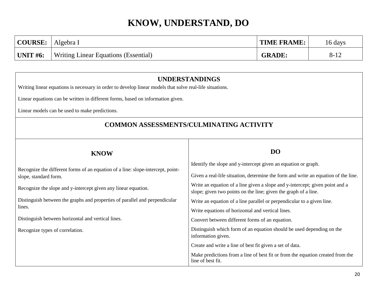| COURSE:          | Algebra I                                   | <b>TIME FRAME:</b> | 16 days  |
|------------------|---------------------------------------------|--------------------|----------|
| $\vert$ UNIT #6: | <b>Writing Linear Equations (Essential)</b> | <b>GRADE:</b>      | $8 - 12$ |

### **UNDERSTANDINGS**

Writing linear equations is necessary in order to develop linear models that solve real-life situations.

Linear equations can be written in different forms, based on information given.

Linear models can be used to make predictions.

### **COMMON ASSESSMENTS/CULMINATING ACTIVITY**

| <b>KNOW</b>                                                                                              | DO                                                                                                                                                   |
|----------------------------------------------------------------------------------------------------------|------------------------------------------------------------------------------------------------------------------------------------------------------|
| Recognize the different forms of an equation of a line: slope-intercept, point-<br>slope, standard form. | Identify the slope and y-intercept given an equation or graph.<br>Given a real-life situation, determine the form and write an equation of the line. |
| Recognize the slope and y-intercept given any linear equation.                                           | Write an equation of a line given a slope and y-intercept; given point and a<br>slope; given two points on the line; given the graph of a line.      |
| Distinguish between the graphs and properties of parallel and perpendicular                              | Write an equation of a line parallel or perpendicular to a given line.                                                                               |
| lines.                                                                                                   | Write equations of horizontal and vertical lines.                                                                                                    |
| Distinguish between horizontal and vertical lines.                                                       | Convert between different forms of an equation.                                                                                                      |
| Recognize types of correlation.                                                                          | Distinguish which form of an equation should be used depending on the<br>information given.                                                          |
|                                                                                                          | Create and write a line of best fit given a set of data.                                                                                             |
|                                                                                                          | Make predictions from a line of best fit or from the equation created from the<br>line of best fit.                                                  |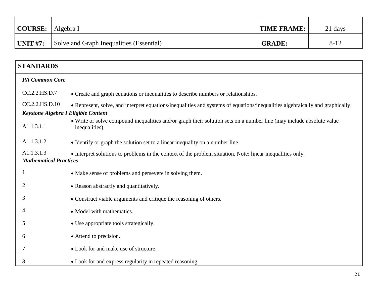| <b>COURSE:</b> | Algebra I                                | <b>TIME FRAME:</b> | 21 days  |
|----------------|------------------------------------------|--------------------|----------|
| UNIT $\#7$ :   | Solve and Graph Inequalities (Essential) | <b>GRADE:</b>      | $8 - 12$ |

| <b>STANDARDS</b>                                      |                                                                                                                                        |  |  |  |
|-------------------------------------------------------|----------------------------------------------------------------------------------------------------------------------------------------|--|--|--|
| <b>PA Common Core</b>                                 |                                                                                                                                        |  |  |  |
| CC.2.2.HS.D.7                                         | • Create and graph equations or inequalities to describe numbers or relationships.                                                     |  |  |  |
| CC.2.2.HS.D.10<br>Keystone Algebra I Eligible Content | • Represent, solve, and interpret equations/inequalities and systems of equations/inequalities algebraically and graphically.          |  |  |  |
| A1.1.3.1.1                                            | • Write or solve compound inequalities and/or graph their solution sets on a number line (may include absolute value<br>inequalities). |  |  |  |
| A1.1.3.1.2                                            | • Identify or graph the solution set to a linear inequality on a number line.                                                          |  |  |  |
| A1.1.3.1.3<br><b>Mathematical Practices</b>           | • Interpret solutions to problems in the context of the problem situation. Note: linear inequalities only.                             |  |  |  |
| 1                                                     | • Make sense of problems and persevere in solving them.                                                                                |  |  |  |
| $\overline{c}$                                        | • Reason abstractly and quantitatively.                                                                                                |  |  |  |
| 3                                                     | • Construct viable arguments and critique the reasoning of others.                                                                     |  |  |  |
| 4                                                     | • Model with mathematics.                                                                                                              |  |  |  |
| 5                                                     | • Use appropriate tools strategically.                                                                                                 |  |  |  |
| 6                                                     | • Attend to precision.                                                                                                                 |  |  |  |
|                                                       | • Look for and make use of structure.                                                                                                  |  |  |  |
| 8                                                     | • Look for and express regularity in repeated reasoning.                                                                               |  |  |  |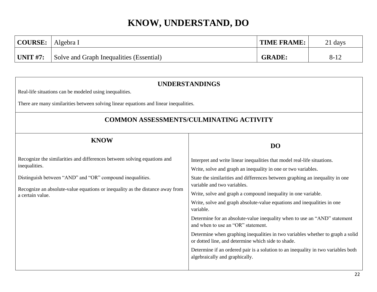| <b>COURSE:</b>  | Algebra I                                | <b>TIME FRAME:</b> | 21 days  |
|-----------------|------------------------------------------|--------------------|----------|
| $\mid$ UNIT #7: | Solve and Graph Inequalities (Essential) | <b>GRADE:</b>      | $8 - 12$ |

### **UNDERSTANDINGS**

Real-life situations can be modeled using inequalities.

There are many similarities between solving linear equations and linear inequalities.

### **COMMON ASSESSMENTS/CULMINATING ACTIVITY**

| <b>DO</b>                                                                                                                                                                                                                                                                                                                                                                                                                                                                                                                            |
|--------------------------------------------------------------------------------------------------------------------------------------------------------------------------------------------------------------------------------------------------------------------------------------------------------------------------------------------------------------------------------------------------------------------------------------------------------------------------------------------------------------------------------------|
| Interpret and write linear inequalities that model real-life situations.<br>Write, solve and graph an inequality in one or two variables.<br>State the similarities and differences between graphing an inequality in one<br>variable and two variables.<br>Write, solve and graph a compound inequality in one variable.<br>Write, solve and graph absolute-value equations and inequalities in one<br>variable.<br>Determine for an absolute-value inequality when to use an "AND" statement<br>and when to use an "OR" statement. |
| Determine when graphing inequalities in two variables whether to graph a solid<br>or dotted line, and determine which side to shade.<br>Determine if an ordered pair is a solution to an inequality in two variables both<br>algebraically and graphically.                                                                                                                                                                                                                                                                          |
|                                                                                                                                                                                                                                                                                                                                                                                                                                                                                                                                      |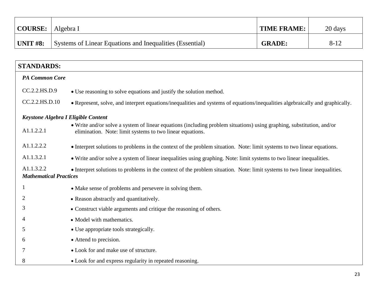| <b>COURSE:</b> | Algebra I                                                       | TIME FRAME:   | 20 days  |
|----------------|-----------------------------------------------------------------|---------------|----------|
| UNIT $#8:$     | <b>Systems of Linear Equations and Inequalities (Essential)</b> | <b>GRADE:</b> | $8 - 12$ |

| <b>STANDARDS:</b>                           |                                                                                                                                                                                    |
|---------------------------------------------|------------------------------------------------------------------------------------------------------------------------------------------------------------------------------------|
| <b>PA Common Core</b>                       |                                                                                                                                                                                    |
| CC.2.2.HS.D.9                               | • Use reasoning to solve equations and justify the solution method.                                                                                                                |
| CC.2.2.HS.D.10                              | • Represent, solve, and interpret equations/inequalities and systems of equations/inequalities algebraically and graphically.                                                      |
| Keystone Algebra I Eligible Content         |                                                                                                                                                                                    |
| A1.1.2.2.1                                  | • Write and/or solve a system of linear equations (including problem situations) using graphing, substitution, and/or<br>elimination. Note: limit systems to two linear equations. |
| A1.1.2.2.2                                  | • Interpret solutions to problems in the context of the problem situation. Note: limit systems to two linear equations.                                                            |
| A1.1.3.2.1                                  | • Write and/or solve a system of linear inequalities using graphing. Note: limit systems to two linear inequalities.                                                               |
| A1.1.3.2.2<br><b>Mathematical Practices</b> | • Interpret solutions to problems in the context of the problem situation. Note: limit systems to two linear inequalities.                                                         |
|                                             | • Make sense of problems and persevere in solving them.                                                                                                                            |
| 2                                           | • Reason abstractly and quantitatively.                                                                                                                                            |
| 3                                           | • Construct viable arguments and critique the reasoning of others.                                                                                                                 |
| 4                                           | • Model with mathematics.                                                                                                                                                          |
| 5                                           | • Use appropriate tools strategically.                                                                                                                                             |
| 6                                           | • Attend to precision.                                                                                                                                                             |
|                                             | • Look for and make use of structure.                                                                                                                                              |
| 8                                           | • Look for and express regularity in repeated reasoning.                                                                                                                           |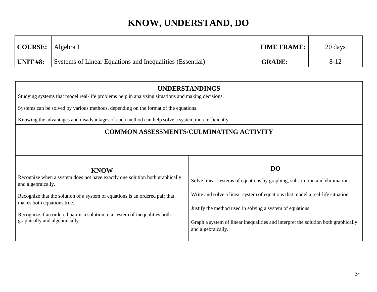| <b>COURSE:</b>  | Algebra I                                                | <b>TIME FRAME:</b> | 20 days |
|-----------------|----------------------------------------------------------|--------------------|---------|
| <b>UNIT #8:</b> | Systems of Linear Equations and Inequalities (Essential) | <b>GRADE:</b>      | $8-12$  |

| <b>UNDERSTANDINGS</b><br>Studying systems that model real-life problems help in analyzing situations and making decisions.<br>Systems can be solved by various methods, depending on the format of the equations.<br>Knowing the advantages and disadvantages of each method can help solve a system more efficiently.                          |                                                                                                                                                                                                                                                                                                                                                     |  |  |
|-------------------------------------------------------------------------------------------------------------------------------------------------------------------------------------------------------------------------------------------------------------------------------------------------------------------------------------------------|-----------------------------------------------------------------------------------------------------------------------------------------------------------------------------------------------------------------------------------------------------------------------------------------------------------------------------------------------------|--|--|
|                                                                                                                                                                                                                                                                                                                                                 |                                                                                                                                                                                                                                                                                                                                                     |  |  |
| <b>COMMON ASSESSMENTS/CULMINATING ACTIVITY</b>                                                                                                                                                                                                                                                                                                  |                                                                                                                                                                                                                                                                                                                                                     |  |  |
| <b>KNOW</b><br>Recognize when a system does not have exactly one solution both graphically<br>and algebraically.<br>Recognize that the solution of a system of equations is an ordered pair that<br>makes both equations true.<br>Recognize if an ordered pair is a solution to a system of inequalities both<br>graphically and algebraically. | <b>DO</b><br>Solve linear systems of equations by graphing, substitution and elimination.<br>Write and solve a linear system of equations that model a real-life situation.<br>Justify the method used in solving a system of equations.<br>Graph a system of linear inequalities and interpret the solution both graphically<br>and algebraically. |  |  |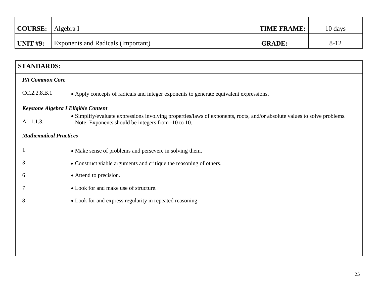| <b>COURSE:</b> Algebra I |                                           | <b>TIME FRAME:</b> | 10 days  |
|--------------------------|-------------------------------------------|--------------------|----------|
| <b>UNIT #9:</b>          | <b>Exponents and Radicals (Important)</b> | <b>GRADE:</b>      | $8 - 12$ |

| <b>STANDARDS:</b>                   |                                                                                                                                                                                |
|-------------------------------------|--------------------------------------------------------------------------------------------------------------------------------------------------------------------------------|
| <b>PA Common Core</b>               |                                                                                                                                                                                |
| CC.2.2.8.B.1                        | • Apply concepts of radicals and integer exponents to generate equivalent expressions.                                                                                         |
| Keystone Algebra I Eligible Content |                                                                                                                                                                                |
| A1.1.1.3.1                          | • Simplify/evaluate expressions involving properties/laws of exponents, roots, and/or absolute values to solve problems.<br>Note: Exponents should be integers from -10 to 10. |
| <b>Mathematical Practices</b>       |                                                                                                                                                                                |
|                                     | • Make sense of problems and persevere in solving them.                                                                                                                        |
| 3                                   | • Construct viable arguments and critique the reasoning of others.                                                                                                             |
| 6                                   | • Attend to precision.                                                                                                                                                         |
|                                     | • Look for and make use of structure.                                                                                                                                          |
| 8                                   | • Look for and express regularity in repeated reasoning.                                                                                                                       |
|                                     |                                                                                                                                                                                |
|                                     |                                                                                                                                                                                |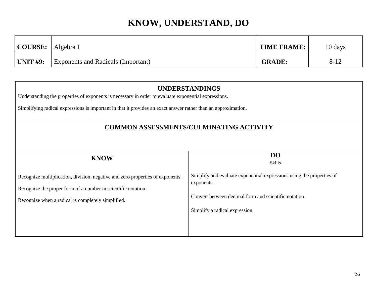| <b>COURSE:</b> | Algebra I                                 | TIME FRAME:   | 10 days  |
|----------------|-------------------------------------------|---------------|----------|
| UNIT $#9:$     | <b>Exponents and Radicals (Important)</b> | <b>GRADE:</b> | $8 - 12$ |

| <b>UNDERSTANDINGS</b><br>Understanding the properties of exponents is necessary in order to evaluate exponential expressions.<br>Simplifying radical expressions is important in that it provides an exact answer rather than an approximation. |                                                                                     |  |  |
|-------------------------------------------------------------------------------------------------------------------------------------------------------------------------------------------------------------------------------------------------|-------------------------------------------------------------------------------------|--|--|
| <b>COMMON ASSESSMENTS/CULMINATING ACTIVITY</b>                                                                                                                                                                                                  |                                                                                     |  |  |
| <b>KNOW</b>                                                                                                                                                                                                                                     | DO                                                                                  |  |  |
|                                                                                                                                                                                                                                                 | Skills                                                                              |  |  |
| Recognize multiplication, division, negative and zero properties of exponents.<br>Recognize the proper form of a number in scientific notation.                                                                                                 | Simplify and evaluate exponential expressions using the properties of<br>exponents. |  |  |
| Recognize when a radical is completely simplified.                                                                                                                                                                                              | Convert between decimal form and scientific notation.                               |  |  |
|                                                                                                                                                                                                                                                 | Simplify a radical expression.                                                      |  |  |
|                                                                                                                                                                                                                                                 |                                                                                     |  |  |
|                                                                                                                                                                                                                                                 |                                                                                     |  |  |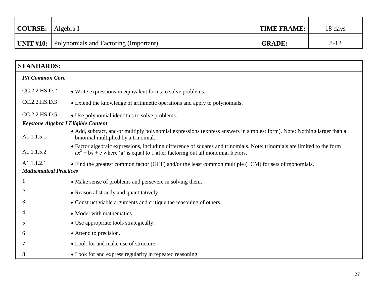| <b>COURSE:</b> | Algebra I                                              | TIME FRAME:   | 18 days  |
|----------------|--------------------------------------------------------|---------------|----------|
|                | <b>UNIT #10:</b> Polynomials and Factoring (Important) | <b>GRADE:</b> | $8 - 12$ |

| <b>STANDARDS:</b>                   |                                                                                                                                                                                                                 |
|-------------------------------------|-----------------------------------------------------------------------------------------------------------------------------------------------------------------------------------------------------------------|
| <b>PA Common Core</b>               |                                                                                                                                                                                                                 |
| CC.2.2.HS.D.2                       | • Write expressions in equivalent forms to solve problems.                                                                                                                                                      |
| CC.2.2.HS.D.3                       | • Extend the knowledge of arithmetic operations and apply to polynomials.                                                                                                                                       |
| CC.2.2.HS.D.5                       | • Use polynomial identities to solve problems.                                                                                                                                                                  |
| Keystone Algebra I Eligible Content |                                                                                                                                                                                                                 |
| A1.1.1.5.1                          | • Add, subtract, and/or multiply polynomial expressions (express answers in simplest form). Note: Nothing larger than a<br>binomial multiplied by a trinomial.                                                  |
| A1.1.1.5.2                          | • Factor algebraic expressions, including difference of squares and trinomials. Note: trinomials are limited to the form<br>$ax^{2} + bx + c$ where 'a' is equal to 1 after factoring out all monomial factors. |
| A1.1.1.2.1                          | • Find the greatest common factor (GCF) and/or the least common multiple (LCM) for sets of monomials.                                                                                                           |
| <b>Mathematical Practices</b>       |                                                                                                                                                                                                                 |
|                                     | • Make sense of problems and persevere in solving them.                                                                                                                                                         |
| 2                                   | • Reason abstractly and quantitatively.                                                                                                                                                                         |
| 3                                   | • Construct viable arguments and critique the reasoning of others.                                                                                                                                              |
|                                     | • Model with mathematics.                                                                                                                                                                                       |
| 5                                   | • Use appropriate tools strategically.                                                                                                                                                                          |
| 6                                   | • Attend to precision.                                                                                                                                                                                          |
|                                     | • Look for and make use of structure.                                                                                                                                                                           |
| 8                                   | • Look for and express regularity in repeated reasoning.                                                                                                                                                        |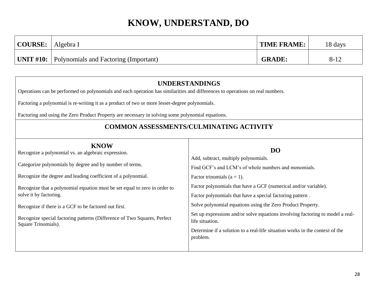| $\vert$ COURSE: $\vert$ | Algebra I                                              | <b>TIME FRAME:</b> | 18 days  |
|-------------------------|--------------------------------------------------------|--------------------|----------|
|                         | <b>UNIT #10:</b> Polynomials and Factoring (Important) | <b>GRADE:</b>      | $8 - 12$ |

### **UNDERSTANDINGS**

Operations can be performed on polynomials and each operation has similarities and differences to operations on real numbers.

Factoring a polynomial is re-writing it as a product of two or more lesser-degree polynomials.

Factoring and using the Zero Product Property are necessary in solving some polynomial equations.

### **COMMON ASSESSMENTS/CULMINATING ACTIVITY**

| <b>KNOW</b><br>Recognize a polynomial vs. an algebraic expression.                              | <b>DO</b><br>Add, subtract, multiply polynomials.                                                 |
|-------------------------------------------------------------------------------------------------|---------------------------------------------------------------------------------------------------|
| Categorize polynomials by degree and by number of terms.                                        | Find GCF's and LCM's of whole numbers and monomials.                                              |
| Recognize the degree and leading coefficient of a polynomial.                                   | Factor trinomials ( $a = 1$ ).                                                                    |
| Recognize that a polynomial equation must be set equal to zero in order to                      | Factor polynomials that have a GCF (numerical and/or variable).                                   |
| solve it by factoring.                                                                          | Factor polynomials that have a special factoring pattern.                                         |
| Recognize if there is a GCF to be factored out first.                                           | Solve polynomial equations using the Zero Product Property.                                       |
| Recognize special factoring patterns (Difference of Two Squares, Perfect<br>Square Trinomials). | Set up expressions and/or solve equations involving factoring to model a real-<br>life situation. |
|                                                                                                 | Determine if a solution to a real-life situation works in the context of the                      |
|                                                                                                 | problem.                                                                                          |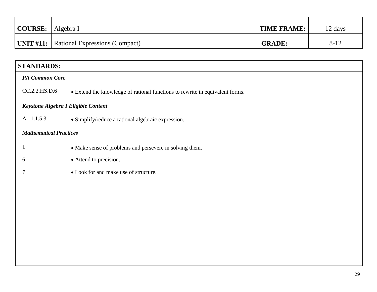| <b>COURSE:</b> | Algebra I                                       | <b>TIME FRAME:</b> | 12 days  |
|----------------|-------------------------------------------------|--------------------|----------|
|                | <b>UNIT #11:</b> Rational Expressions (Compact) | <b>GRADE:</b>      | $8 - 12$ |

### **STANDARDS:**

| <b>PA Common Core</b>               |                                                                              |  |  |
|-------------------------------------|------------------------------------------------------------------------------|--|--|
| CC.2.2.HS.D.6                       | • Extend the knowledge of rational functions to rewrite in equivalent forms. |  |  |
| Keystone Algebra I Eligible Content |                                                                              |  |  |
| A1.1.1.5.3                          | • Simplify/reduce a rational algebraic expression.                           |  |  |
| <b>Mathematical Practices</b>       |                                                                              |  |  |
|                                     | • Make sense of problems and persevere in solving them.                      |  |  |
| 6                                   | • Attend to precision.                                                       |  |  |
|                                     | • Look for and make use of structure.                                        |  |  |
|                                     |                                                                              |  |  |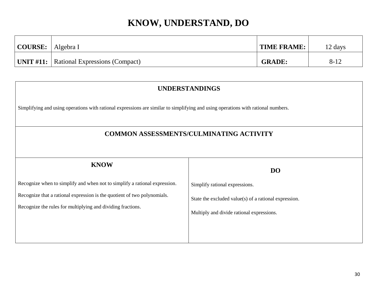| $\vert$ COURSE: $\vert$ Algebra I |                                                 | <b>TIME FRAME:</b> | 12 days  |
|-----------------------------------|-------------------------------------------------|--------------------|----------|
|                                   | <b>UNIT #11:</b> Rational Expressions (Compact) | <b>GRADE:</b>      | $8 - 12$ |

| <b>UNDERSTANDINGS</b>                                                                                                             |                                                       |  |  |  |
|-----------------------------------------------------------------------------------------------------------------------------------|-------------------------------------------------------|--|--|--|
| Simplifying and using operations with rational expressions are similar to simplifying and using operations with rational numbers. |                                                       |  |  |  |
| <b>COMMON ASSESSMENTS/CULMINATING ACTIVITY</b>                                                                                    |                                                       |  |  |  |
| <b>KNOW</b>                                                                                                                       | <b>DO</b>                                             |  |  |  |
| Recognize when to simplify and when not to simplify a rational expression.                                                        | Simplify rational expressions.                        |  |  |  |
| Recognize that a rational expression is the quotient of two polynomials.                                                          | State the excluded value(s) of a rational expression. |  |  |  |
| Recognize the rules for multiplying and dividing fractions.                                                                       | Multiply and divide rational expressions.             |  |  |  |
|                                                                                                                                   |                                                       |  |  |  |
|                                                                                                                                   |                                                       |  |  |  |